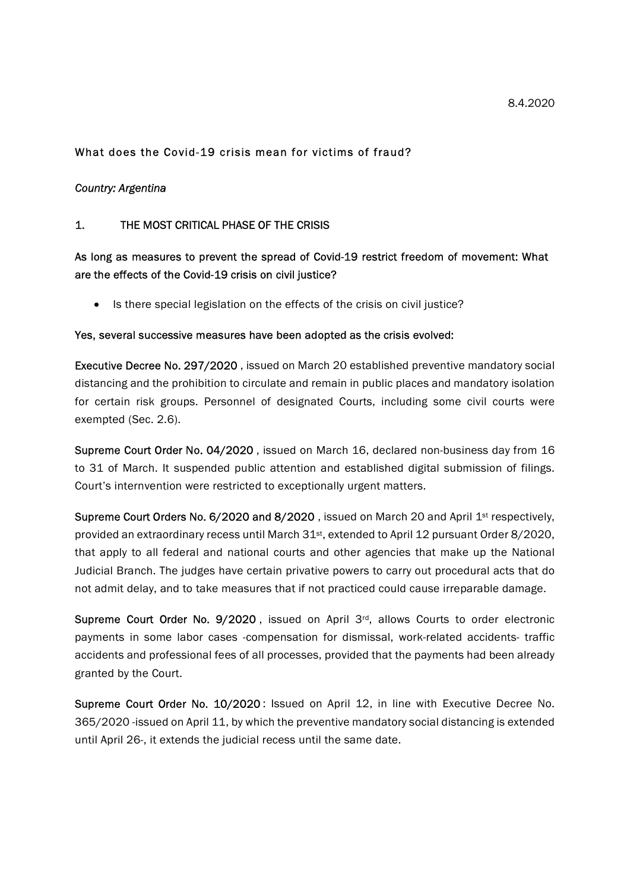#### 8.4.2020

## What does the Covid-19 crisis mean for victims of fraud?

## Country: Argentina

## 1. THE MOST CRITICAL PHASE OF THE CRISIS

# As long as measures to prevent the spread of Covid-19 restrict freedom of movement: What are the effects of the Covid-19 crisis on civil justice?

• Is there special legislation on the effects of the crisis on civil justice?

#### Yes, several successive measures have been adopted as the crisis evolved:

Executive Decree No. 297/2020 , issued on March 20 established preventive mandatory social distancing and the prohibition to circulate and remain in public places and mandatory isolation for certain risk groups. Personnel of designated Courts, including some civil courts were exempted (Sec. 2.6).

Supreme Court Order No. 04/2020 , issued on March 16, declared non-business day from 16 to 31 of March. It suspended public attention and established digital submission of filings. Court's internvention were restricted to exceptionally urgent matters.

Supreme Court Orders No. 6/2020 and 8/2020, issued on March 20 and April 1<sup>st</sup> respectively, provided an extraordinary recess until March 31<sup>st</sup>, extended to April 12 pursuant Order 8/2020, that apply to all federal and national courts and other agencies that make up the National Judicial Branch. The judges have certain privative powers to carry out procedural acts that do not admit delay, and to take measures that if not practiced could cause irreparable damage.

Supreme Court Order No. 9/2020, issued on April 3rd, allows Courts to order electronic payments in some labor cases -compensation for dismissal, work-related accidents- traffic accidents and professional fees of all processes, provided that the payments had been already granted by the Court.

Supreme Court Order No. 10/2020 : Issued on April 12, in line with Executive Decree No. 365/2020 -issued on April 11, by which the preventive mandatory social distancing is extended until April 26-, it extends the judicial recess until the same date.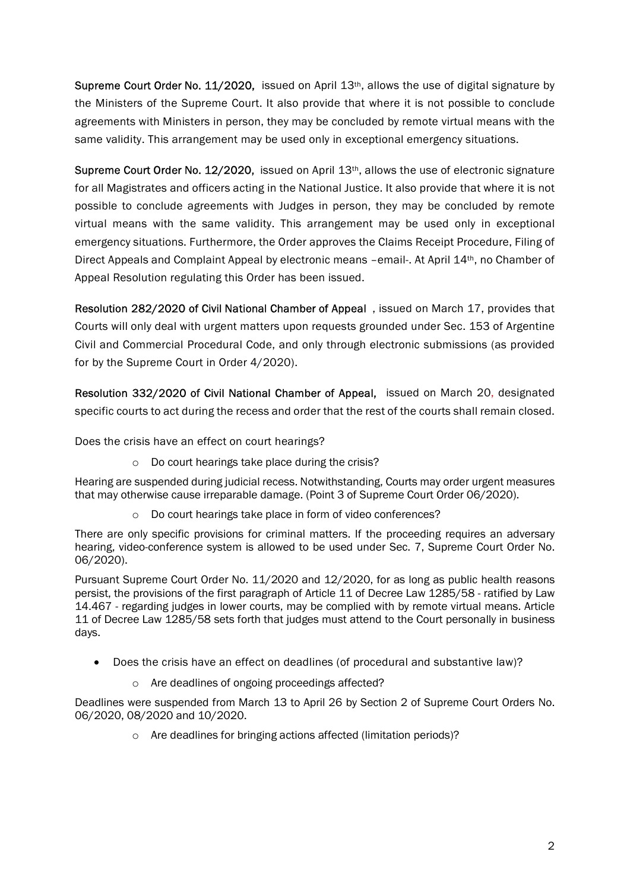Supreme Court Order No.  $11/2020$ , issued on April  $13<sup>th</sup>$ , allows the use of digital signature by the Ministers of the Supreme Court. It also provide that where it is not possible to conclude agreements with Ministers in person, they may be concluded by remote virtual means with the same validity. This arrangement may be used only in exceptional emergency situations.

Supreme Court Order No. 12/2020, issued on April 13<sup>th</sup>, allows the use of electronic signature for all Magistrates and officers acting in the National Justice. It also provide that where it is not possible to conclude agreements with Judges in person, they may be concluded by remote virtual means with the same validity. This arrangement may be used only in exceptional emergency situations. Furthermore, the Order approves the Claims Receipt Procedure, Filing of Direct Appeals and Complaint Appeal by electronic means –email-. At April 14th, no Chamber of Appeal Resolution regulating this Order has been issued.

Resolution 282/2020 of Civil National Chamber of Appeal , issued on March 17, provides that Courts will only deal with urgent matters upon requests grounded under Sec. 153 of Argentine Civil and Commercial Procedural Code, and only through electronic submissions (as provided for by the Supreme Court in Order 4/2020).

Resolution 332/2020 of Civil National Chamber of Appeal, issued on March 20, designated specific courts to act during the recess and order that the rest of the courts shall remain closed.

Does the crisis have an effect on court hearings?

o Do court hearings take place during the crisis?

Hearing are suspended during judicial recess. Notwithstanding, Courts may order urgent measures that may otherwise cause irreparable damage. (Point 3 of Supreme Court Order 06/2020).

o Do court hearings take place in form of video conferences?

There are only specific provisions for criminal matters. If the proceeding requires an adversary hearing, video-conference system is allowed to be used under Sec. 7, Supreme Court Order No. 06/2020).

Pursuant Supreme Court Order No. 11/2020 and 12/2020, for as long as public health reasons persist, the provisions of the first paragraph of Article 11 of Decree Law 1285/58 - ratified by Law 14.467 - regarding judges in lower courts, may be complied with by remote virtual means. Article 11 of Decree Law 1285/58 sets forth that judges must attend to the Court personally in business days.

- Does the crisis have an effect on deadlines (of procedural and substantive law)?
	- o Are deadlines of ongoing proceedings affected?

Deadlines were suspended from March 13 to April 26 by Section 2 of Supreme Court Orders No. 06/2020, 08/2020 and 10/2020.

o Are deadlines for bringing actions affected (limitation periods)?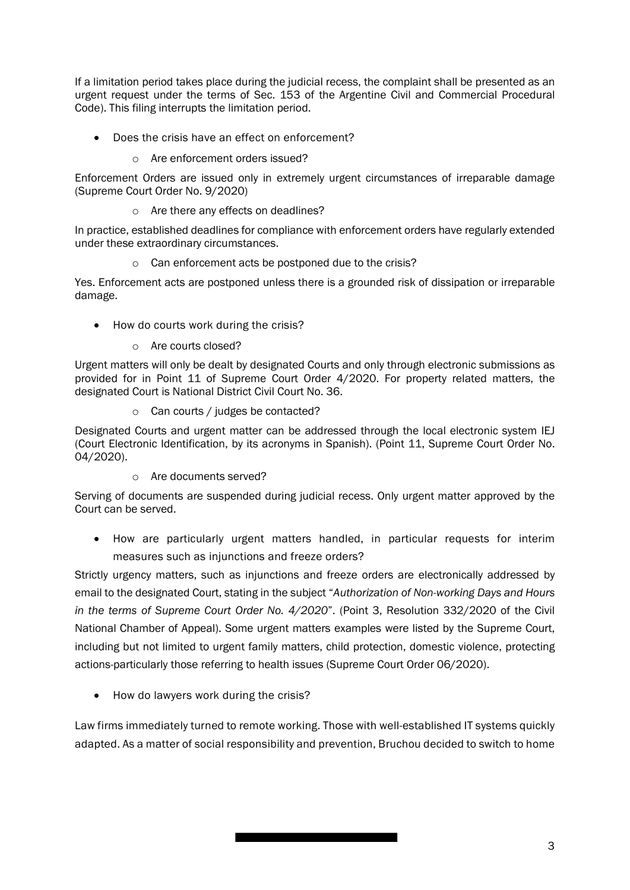If a limitation period takes place during the judicial recess, the complaint shall be presented as an urgent request under the terms of Sec. 153 of the Argentine Civil and Commercial Procedural Code). This filing interrupts the limitation period.

- Does the crisis have an effect on enforcement?
	- o Are enforcement orders issued?

Enforcement Orders are issued only in extremely urgent circumstances of irreparable damage (Supreme Court Order No. 9/2020)

o Are there any effects on deadlines?

In practice, established deadlines for compliance with enforcement orders have regularly extended under these extraordinary circumstances.

o Can enforcement acts be postponed due to the crisis?

Yes. Enforcement acts are postponed unless there is a grounded risk of dissipation or irreparable damage.

- How do courts work during the crisis?
	- o Are courts closed?

Urgent matters will only be dealt by designated Courts and only through electronic submissions as provided for in Point 11 of Supreme Court Order 4/2020. For property related matters, the designated Court is National District Civil Court No. 36.

o Can courts / judges be contacted?

Designated Courts and urgent matter can be addressed through the local electronic system IEJ (Court Electronic Identification, by its acronyms in Spanish). (Point 11, Supreme Court Order No. 04/2020).

o Are documents served?

Serving of documents are suspended during judicial recess. Only urgent matter approved by the Court can be served.

 How are particularly urgent matters handled, in particular requests for interim measures such as injunctions and freeze orders?

Strictly urgency matters, such as injunctions and freeze orders are electronically addressed by email to the designated Court, stating in the subject "Authorization of Non-working Days and Hours in the terms of Supreme Court Order No. 4/2020". (Point 3, Resolution 332/2020 of the Civil National Chamber of Appeal). Some urgent matters examples were listed by the Supreme Court, including but not limited to urgent family matters, child protection, domestic violence, protecting actions-particularly those referring to health issues (Supreme Court Order 06/2020).

• How do lawyers work during the crisis?

Law firms immediately turned to remote working. Those with well-established IT systems quickly adapted. As a matter of social responsibility and prevention, Bruchou decided to switch to home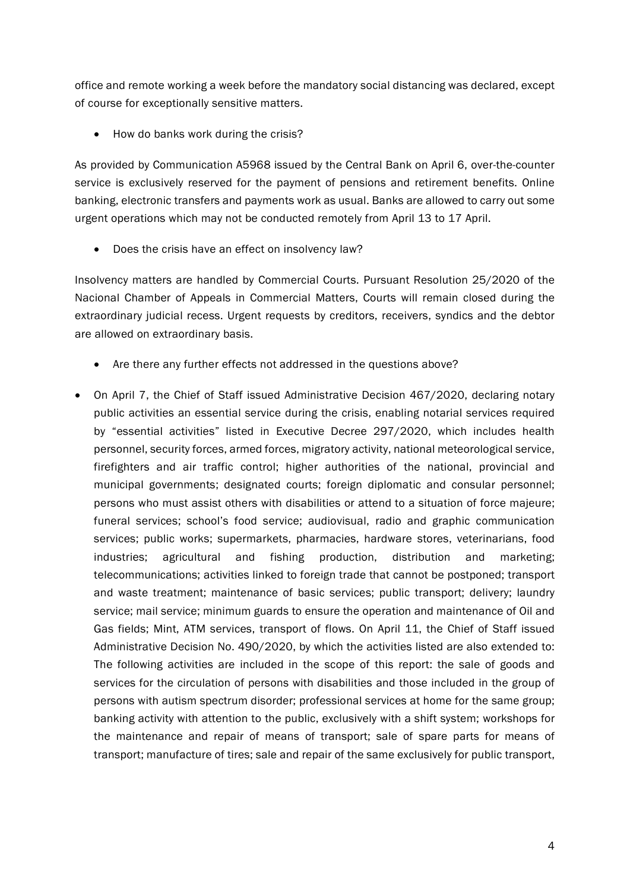office and remote working a week before the mandatory social distancing was declared, except of course for exceptionally sensitive matters.

• How do banks work during the crisis?

As provided by Communication A5968 issued by the Central Bank on April 6, over-the-counter service is exclusively reserved for the payment of pensions and retirement benefits. Online banking, electronic transfers and payments work as usual. Banks are allowed to carry out some urgent operations which may not be conducted remotely from April 13 to 17 April.

• Does the crisis have an effect on insolvency law?

Insolvency matters are handled by Commercial Courts. Pursuant Resolution 25/2020 of the Nacional Chamber of Appeals in Commercial Matters, Courts will remain closed during the extraordinary judicial recess. Urgent requests by creditors, receivers, syndics and the debtor are allowed on extraordinary basis.

- Are there any further effects not addressed in the questions above?
- On April 7, the Chief of Staff issued Administrative Decision 467/2020, declaring notary public activities an essential service during the crisis, enabling notarial services required by "essential activities" listed in Executive Decree 297/2020, which includes health personnel, security forces, armed forces, migratory activity, national meteorological service, firefighters and air traffic control; higher authorities of the national, provincial and municipal governments; designated courts; foreign diplomatic and consular personnel; persons who must assist others with disabilities or attend to a situation of force majeure; funeral services; school's food service; audiovisual, radio and graphic communication services; public works; supermarkets, pharmacies, hardware stores, veterinarians, food industries; agricultural and fishing production, distribution and marketing; telecommunications; activities linked to foreign trade that cannot be postponed; transport and waste treatment; maintenance of basic services; public transport; delivery; laundry service; mail service; minimum guards to ensure the operation and maintenance of Oil and Gas fields; Mint, ATM services, transport of flows. On April 11, the Chief of Staff issued Administrative Decision No. 490/2020, by which the activities listed are also extended to: The following activities are included in the scope of this report: the sale of goods and services for the circulation of persons with disabilities and those included in the group of persons with autism spectrum disorder; professional services at home for the same group; banking activity with attention to the public, exclusively with a shift system; workshops for the maintenance and repair of means of transport; sale of spare parts for means of transport; manufacture of tires; sale and repair of the same exclusively for public transport,